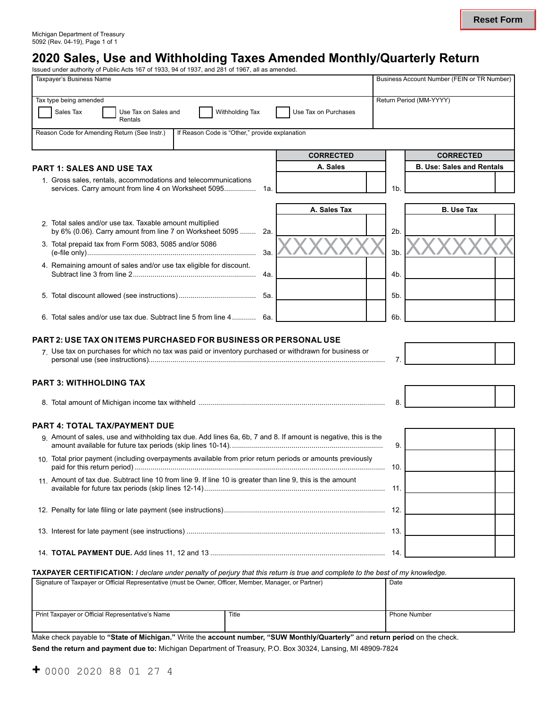# **2020 Sales, Use and Withholding Taxes Amended Monthly/Quarterly Return**

| Issued under authority of Public Acts 167 of 1933, 94 of 1937, and 281 of 1967, all as amended.                               |                      |     |                                             |  |
|-------------------------------------------------------------------------------------------------------------------------------|----------------------|-----|---------------------------------------------|--|
| Taxpayer's Business Name                                                                                                      |                      |     | Business Account Number (FEIN or TR Number) |  |
| Tax type being amended<br>Sales Tax<br>Withholding Tax<br>Use Tax on Sales and<br>Rentals                                     | Use Tax on Purchases |     | Return Period (MM-YYYY)                     |  |
| Reason Code for Amending Return (See Instr.)<br>If Reason Code is "Other," provide explanation                                |                      |     |                                             |  |
|                                                                                                                               | <b>CORRECTED</b>     |     | <b>CORRECTED</b>                            |  |
| <b>PART 1: SALES AND USE TAX</b>                                                                                              | A. Sales             |     | <b>B. Use: Sales and Rentals</b>            |  |
| 1. Gross sales, rentals, accommodations and telecommunications<br>services. Carry amount from line 4 on Worksheet 5095<br>1a. |                      | 1b. |                                             |  |
|                                                                                                                               | A. Sales Tax         |     | <b>B.</b> Use Tax                           |  |
| 2. Total sales and/or use tax. Taxable amount multiplied<br>by 6% (0.06). Carry amount from line 7 on Worksheet 5095<br>2a.   |                      | 2b. |                                             |  |
| 3. Total prepaid tax from Form 5083, 5085 and/or 5086<br>За.                                                                  |                      | 3b. |                                             |  |
| 4. Remaining amount of sales and/or use tax eligible for discount.<br>4a.                                                     |                      | 4b. |                                             |  |
| 5а.                                                                                                                           |                      | 5b. |                                             |  |
| 6. Total sales and/or use tax due. Subtract line 5 from line 4 6a.                                                            |                      | 6b. |                                             |  |
| PART 2: USE TAX ON ITEMS PURCHASED FOR BUSINESS OR PERSONAL USE                                                               |                      |     |                                             |  |
| 7. Use tax on purchases for which no tax was paid or inventory purchased or withdrawn for business or                         |                      | 7.  |                                             |  |
| <b>PART 3: WITHHOLDING TAX</b>                                                                                                |                      |     |                                             |  |
|                                                                                                                               |                      | 8.  |                                             |  |
| <b>PART 4: TOTAL TAX/PAYMENT DUE</b>                                                                                          |                      |     |                                             |  |
| 9. Amount of sales, use and withholding tax due. Add lines 6a, 6b, 7 and 8. If amount is negative, this is the                |                      | 9.  |                                             |  |
| 10 Total prior payment (including overpayments available from prior return periods or amounts previously                      |                      | 10. |                                             |  |
| 11. Amount of tax due. Subtract line 10 from line 9. If line 10 is greater than line 9, this is the amount                    |                      | 11. |                                             |  |
|                                                                                                                               |                      |     |                                             |  |
|                                                                                                                               |                      |     |                                             |  |
|                                                                                                                               |                      | 14. |                                             |  |
| TAXPAYER CERTIFICATION: I declare under penalty of perjury that this return is true and complete to the best of my knowledge. |                      |     |                                             |  |

Signature of Taxpayer or Official Representative (must be Owner, Officer, Member, Manager, or Partner) Date

| Print Taxpayer or Official Representative's Name                                                                                                      | Title | Phone Number |
|-------------------------------------------------------------------------------------------------------------------------------------------------------|-------|--------------|
|                                                                                                                                                       |       |              |
| Make aboak poughle to <b>(Ctate of Mighinese</b> !) Weite the <b>secoupt pumber ((CLIM Menthly/Quanterly</b> ) and <b>seture posited</b> on the chook |       |              |

Make check payable to **"State of Michigan."** Write the **account number, "SUW Monthly/Quarterly"** and **return period** on the check.

**Send the return and payment due to:** Michigan Department of Treasury, P.O. Box 30324, Lansing, MI 48909-7824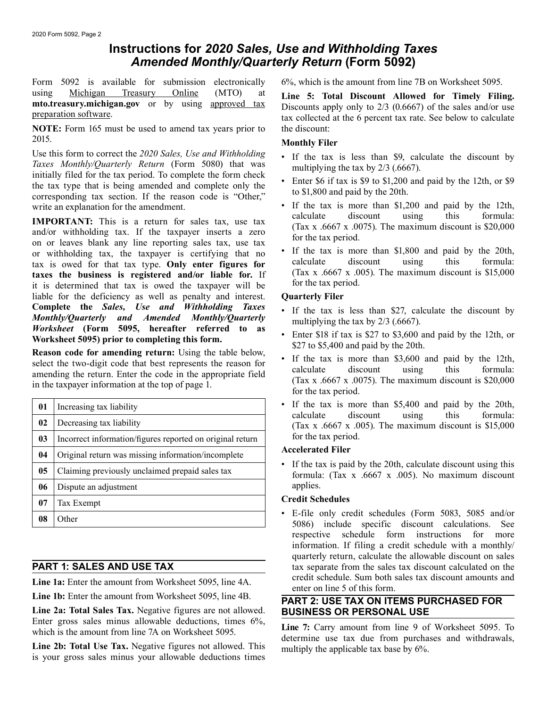## **Instructions for** *2020 Sales, Use and Withholding Taxes Amended Monthly/Quarterly Return* **(Form 5092)**

Form 5092 is available for submission electronically 6%, which is the amount from line 7B on Worksheet 5095. using <u>Michigan Treasury Online</u> (MTO) at Line 5: Total Discount Allowed for Timely Filing.<br>
mto.treasury.michigan.gov or by using approved tax<br>
preparation software.<br>
tax collected at the 6 percent tax rate. See below to

**NOTE:** Form 165 must be used to amend tax years prior to the discount: 2015. **Monthly Filer**

Use this form to correct the 2020 Sales, Use and Withholding<br>
Taxes Monthly/Quarterly Return (Form 5080) that was<br>
initially filed for the tax period. To complete the form check<br>
the tax type that is being amended and comp

**IMPORTANT:** This is a return for sales tax, use tax<br>and/or withholding tax. If the taxpayer inserts a zero<br>on or leaves blank any line reporting sales tax, use tax<br>or withholding tax the taxpayer is certifying that no<br>or or withholding tax, the taxpayer is certifying that no  $\cdot$  If the tax is more than \$1,800 and paid by the 20th,<br>tax is owed for that tax type **Only enter figures for** calculate discount using this formula: tax is owed for that tax type. **Only enter figures for** calculate discount using this formula:<br>taxes the business is registered and/or liable for If (Tax x .6667 x .005). The maximum discount is \$15,000 **taxes the business is registered and/or liable for.** If  $(Tax x .6667 x .0)$  it is determined that tax is owed the taxpayer will be for the taxperiod. it is determined that tax is owed the tax payer will be liable for the deficiency as well as penalty and interest. **Quarterly Filer Complete the Sales, Use and Withholding Taxes** • If the tax is less than \$27, calculate the discount by **Monthly/Quarterly** and *Amended Monthly/Quarterly* • If the tax is less than \$27, calculate the discount by multipl

| 01             | Increasing tax liability                                  | $\bullet$ If the t<br>calculat |  |  |
|----------------|-----------------------------------------------------------|--------------------------------|--|--|
| 02             | Decreasing tax liability                                  | (Tax x)                        |  |  |
| 0 <sub>3</sub> | Incorrect information/figures reported on original return | for the 1                      |  |  |
| 04             | Original return was missing information/incomplete        | Accelerate                     |  |  |
| 05             | Claiming previously unclaimed prepaid sales tax           | If the ta<br>formula           |  |  |
| 06             | Dispute an adjustment                                     | applies.                       |  |  |
| 07             | Tax Exempt                                                | <b>Credit Scl</b>              |  |  |
| 08             | Other                                                     | $E$ -file<br>5086)             |  |  |

**Line 1a:** Enter the amount from Worksheet 5095, line 4A. enter on line 5 of this form.<br>
Line 1b: Enter the amount from Worksheet 5095, line 4B.

Line 2a: Total Sales Tax. Negative figures are not allowed. Enter gross sales minus allowable deductions, times 6%, which is the amount from line 7A on Worksheet 5095. **Line 7:** Carry amount from line 9 of Worksheet 5095. To which is the amount from line 7A on Worksheet 5095.

**Line 2b: Total Use Tax.** Negative figures not allowed. This is your gross sales minus your allowable deductions times

- 
- 
- write an explanation for the amendment.<br>
 If the tax is more than \$1,200 and paid by the 12th,<br>
calculate discount using this formula:
	-

- 
- **Worksheet 5095) prior to completing this form.** Enter \$18 if tax is \$27 to \$3,600 and paid by the 12th, or \$27 to \$5,400 and paid by the 20th.
- Reason code for amending return: Using the table below,<br>select the two-digit code that best represents the reason for<br>amending the return. Enter the code in the appropriate field<br>in the taxpayer information at the top of
	- If the tax is more than \$5,400 and paid by the 20th, calculate discount using this formula: (Tax x .6667 x .005). The maximum discount is  $$15,000$ for the tax period.

### **Accelerated Filer**

• If the tax is paid by the 20th, calculate discount using this formula:  $(Tax x .6667 x .005)$ . No maximum discount

### **Credit Schedules**

• E-file only credit schedules (Form 5083, 5085 and/or 5086) include specific discount calculations. See respective schedule form instructions for more information. If filing a credit schedule with a monthly/ quarterly return, calculate the allowable discount on sales **PART 1: SALES AND USE TAX** tax separate from the sales tax discount calculated on the credit schedule. Sum both sales tax discount amounts and

# **PART 2: USE TAX ON ITEMS PURCHASED FOR<br>BUSINESS OR PERSONAL USE**

determine use tax due from purchases and withdrawals, multiply the applicable tax base by 6%.